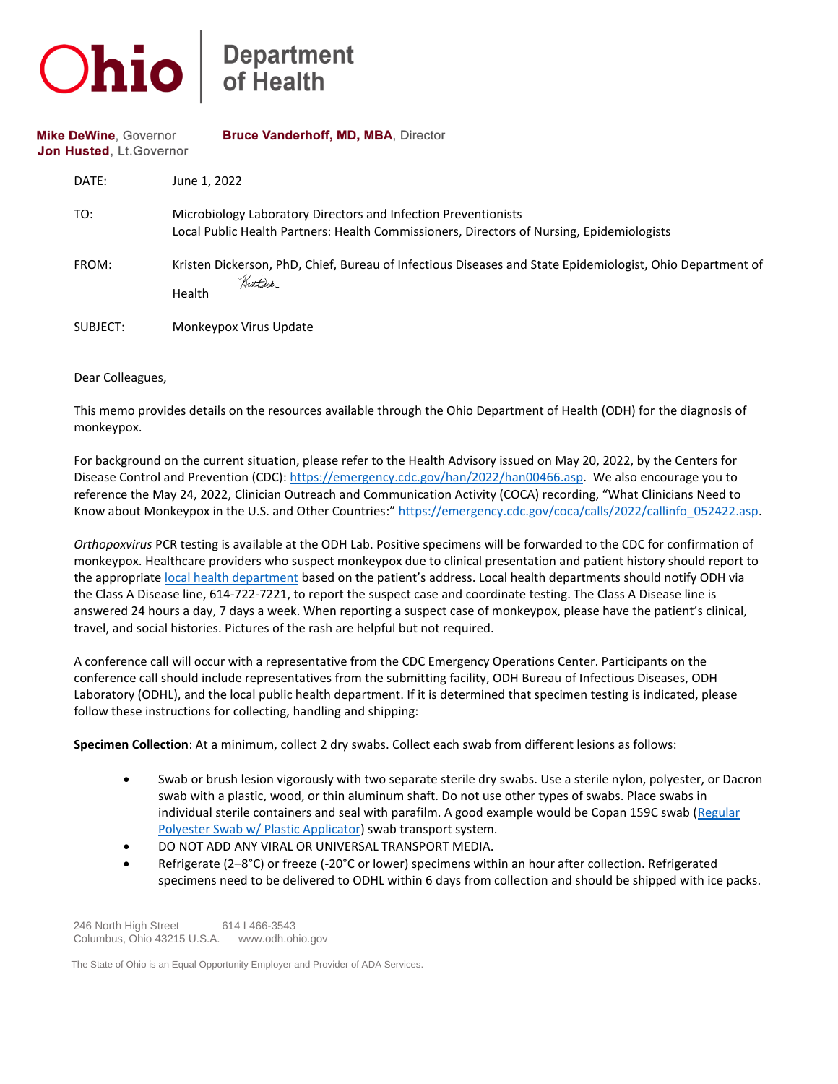

## **Department**<br>of Health

**Mike DeWine, Governor** Bruce Vanderhoff, MD, MBA, Director Jon Husted, Lt. Governor

| DATE:    | June 1, 2022                                                                                                                                                |
|----------|-------------------------------------------------------------------------------------------------------------------------------------------------------------|
| TO:      | Microbiology Laboratory Directors and Infection Preventionists<br>Local Public Health Partners: Health Commissioners, Directors of Nursing, Epidemiologists |
| FROM:    | Kristen Dickerson, PhD, Chief, Bureau of Infectious Diseases and State Epidemiologist, Ohio Department of<br>Krothdek<br>Health                             |
| SUBJECT: | Monkeypox Virus Update                                                                                                                                      |

Dear Colleagues,

This memo provides details on the resources available through the Ohio Department of Health (ODH) for the diagnosis of monkeypox.

For background on the current situation, please refer to the Health Advisory issued on May 20, 2022, by the Centers for Disease Control and Prevention (CDC): [https://emergency.cdc.gov/han/2022/han00466.asp.](https://emergency.cdc.gov/han/2022/han00466.asp) We also encourage you to reference the May 24, 2022, Clinician Outreach and Communication Activity (COCA) recording, "What Clinicians Need to Know about Monkeypox in the U.S. and Other Countries:" [https://emergency.cdc.gov/coca/calls/2022/callinfo\\_052422.asp.](https://gcc02.safelinks.protection.outlook.com/?url=https%3A%2F%2Femergency.cdc.gov%2Fcoca%2Fcalls%2F2022%2Fcallinfo_052422.asp&data=05%7C01%7CKara.Tarter%40odh.ohio.gov%7C2031dd4976534675054608da42705e2e%7C50f8fcc494d84f0784eb36ed57c7c8a2%7C0%7C0%7C637895347641049278%7CUnknown%7CTWFpbGZsb3d8eyJWIjoiMC4wLjAwMDAiLCJQIjoiV2luMzIiLCJBTiI6Ik1haWwiLCJXVCI6Mn0%3D%7C3000%7C%7C%7C&sdata=HFC4sjb6I916k6t0%2FU1bkqLZoG5nyTEPwbvIIBjCHy0%3D&reserved=0)

*Orthopoxvirus* PCR testing is available at the ODH Lab. Positive specimens will be forwarded to the CDC for confirmation of monkeypox. Healthcare providers who suspect monkeypox due to clinical presentation and patient history should report to the appropriat[e local health department](https://gcc02.safelinks.protection.outlook.com/?url=https%3A%2F%2Fodhgateway.odh.ohio.gov%2Flhdinformationsystem%2FDirectory%2FGetMyLHD&data=05%7C01%7CKara.Tarter%40odh.ohio.gov%7C2031dd4976534675054608da42705e2e%7C50f8fcc494d84f0784eb36ed57c7c8a2%7C0%7C0%7C637895347641049278%7CUnknown%7CTWFpbGZsb3d8eyJWIjoiMC4wLjAwMDAiLCJQIjoiV2luMzIiLCJBTiI6Ik1haWwiLCJXVCI6Mn0%3D%7C3000%7C%7C%7C&sdata=KALnIATz%2F%2FRsUTru231x0msPmjQ2fAZ7dAQH0ePuqqg%3D&reserved=0) based on the patient's address. Local health departments should notify ODH via the Class A Disease line, 614-722-7221, to report the suspect case and coordinate testing. The Class A Disease line is answered 24 hours a day, 7 days a week. When reporting a suspect case of monkeypox, please have the patient's clinical, travel, and social histories. Pictures of the rash are helpful but not required.

A conference call will occur with a representative from the CDC Emergency Operations Center. Participants on the conference call should include representatives from the submitting facility, ODH Bureau of Infectious Diseases, ODH Laboratory (ODHL), and the local public health department. If it is determined that specimen testing is indicated, please follow these instructions for collecting, handling and shipping:

**Specimen Collection**: At a minimum, collect 2 dry swabs. Collect each swab from different lesions as follows:

- Swab or brush lesion vigorously with two separate sterile dry swabs. Use a sterile nylon, polyester, or Dacron swab with a plastic, wood, or thin aluminum shaft. Do not use other types of swabs. Place swabs in individual sterile containers and seal with parafilm. A good example would be Copan 159C swab (Regular [Polyester Swab w/ Plastic Applicator\)](https://gcc02.safelinks.protection.outlook.com/?url=https%3A%2F%2Fwww.copanusa.com%2Fsample-collection-transport-processing%2Fdry-swabs%2F&data=05%7C01%7CKara.Tarter%40odh.ohio.gov%7C2031dd4976534675054608da42705e2e%7C50f8fcc494d84f0784eb36ed57c7c8a2%7C0%7C0%7C637895347641049278%7CUnknown%7CTWFpbGZsb3d8eyJWIjoiMC4wLjAwMDAiLCJQIjoiV2luMzIiLCJBTiI6Ik1haWwiLCJXVCI6Mn0%3D%7C3000%7C%7C%7C&sdata=05mZdadcYH0Cy7fk2bqSWSI26ZhAU78Cx%2Fq54YLs7H8%3D&reserved=0) swab transport system.
- DO NOT ADD ANY VIRAL OR UNIVERSAL TRANSPORT MEDIA.
- Refrigerate (2–8°C) or freeze (-20°C or lower) specimens within an hour after collection. Refrigerated specimens need to be delivered to ODHL within 6 days from collection and should be shipped with ice packs.

 246 North High Street 614 I 466-3543 Columbus, Ohio 43215 U.S.A. www.odh.ohio.gov

The State of Ohio is an Equal Opportunity Employer and Provider of ADA Services.